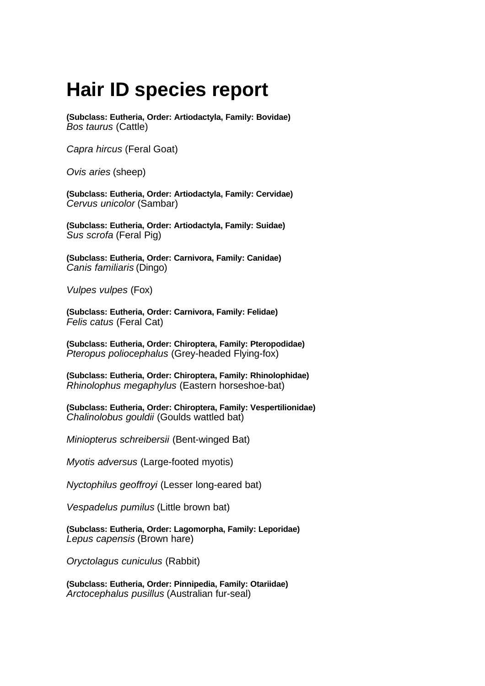## **Hair ID species report**

**(Subclass: Eutheria, Order: Artiodactyla, Family: Bovidae)** *Bos taurus* (Cattle)

*Capra hircus* (Feral Goat)

*Ovis aries* (sheep)

**(Subclass: Eutheria, Order: Artiodactyla, Family: Cervidae)** *Cervus unicolor* (Sambar)

**(Subclass: Eutheria, Order: Artiodactyla, Family: Suidae)** *Sus scrofa* (Feral Pig)

**(Subclass: Eutheria, Order: Carnivora, Family: Canidae)** *Canis familiaris* (Dingo)

*Vulpes vulpes* (Fox)

**(Subclass: Eutheria, Order: Carnivora, Family: Felidae)** *Felis catus* (Feral Cat)

**(Subclass: Eutheria, Order: Chiroptera, Family: Pteropodidae)** *Pteropus poliocephalus* (Grey-headed Flying-fox)

**(Subclass: Eutheria, Order: Chiroptera, Family: Rhinolophidae)** *Rhinolophus megaphylus* (Eastern horseshoe-bat)

**(Subclass: Eutheria, Order: Chiroptera, Family: Vespertilionidae)** *Chalinolobus gouldii* (Goulds wattled bat)

*Miniopterus schreibersii* (Bent-winged Bat)

*Myotis adversus* (Large-footed myotis)

*Nyctophilus geoffroyi* (Lesser long-eared bat)

*Vespadelus pumilus* (Little brown bat)

**(Subclass: Eutheria, Order: Lagomorpha, Family: Leporidae)** *Lepus capensis* (Brown hare)

*Oryctolagus cuniculus* (Rabbit)

**(Subclass: Eutheria, Order: Pinnipedia, Family: Otariidae)** *Arctocephalus pusillus* (Australian fur-seal)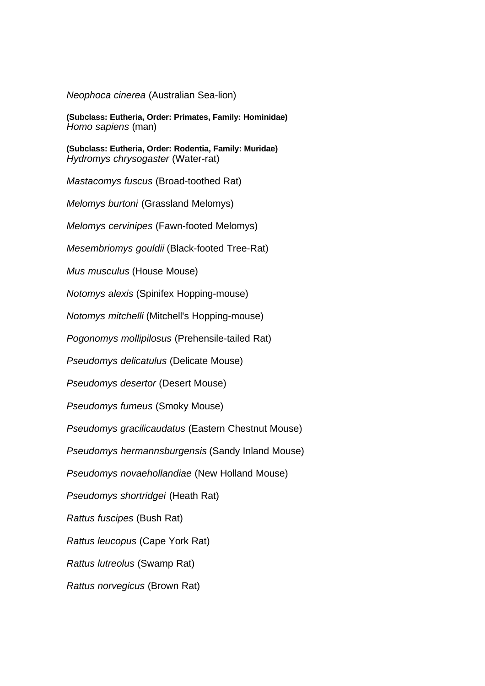*Neophoca cinerea* (Australian Sea-lion)

**(Subclass: Eutheria, Order: Primates, Family: Hominidae)** *Homo sapiens* (man)

**(Subclass: Eutheria, Order: Rodentia, Family: Muridae)** *Hydromys chrysogaster* (Water-rat)

*Mastacomys fuscus* (Broad-toothed Rat)

*Melomys burtoni* (Grassland Melomys)

*Melomys cervinipes* (Fawn-footed Melomys)

*Mesembriomys gouldii* (Black-footed Tree-Rat)

*Mus musculus* (House Mouse)

*Notomys alexis* (Spinifex Hopping-mouse)

*Notomys mitchelli* (Mitchell's Hopping-mouse)

*Pogonomys mollipilosus* (Prehensile-tailed Rat)

*Pseudomys delicatulus* (Delicate Mouse)

*Pseudomys desertor* (Desert Mouse)

*Pseudomys fumeus* (Smoky Mouse)

*Pseudomys gracilicaudatus* (Eastern Chestnut Mouse)

*Pseudomys hermannsburgensis* (Sandy Inland Mouse)

*Pseudomys novaehollandiae* (New Holland Mouse)

*Pseudomys shortridgei* (Heath Rat)

*Rattus fuscipes* (Bush Rat)

*Rattus leucopus* (Cape York Rat)

*Rattus lutreolus* (Swamp Rat)

*Rattus norvegicus* (Brown Rat)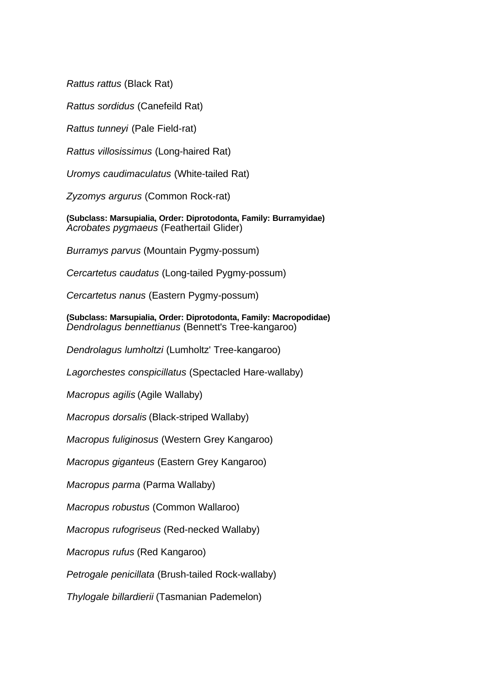*Rattus rattus* (Black Rat)

*Rattus sordidus* (Canefeild Rat)

*Rattus tunneyi* (Pale Field-rat)

*Rattus villosissimus* (Long-haired Rat)

*Uromys caudimaculatus* (White-tailed Rat)

*Zyzomys argurus* (Common Rock-rat)

**(Subclass: Marsupialia, Order: Diprotodonta, Family: Burramyidae)** *Acrobates pygmaeus* (Feathertail Glider)

*Burramys parvus* (Mountain Pygmy-possum)

*Cercartetus caudatus* (Long-tailed Pygmy-possum)

*Cercartetus nanus* (Eastern Pygmy-possum)

**(Subclass: Marsupialia, Order: Diprotodonta, Family: Macropodidae)** *Dendrolagus bennettianus* (Bennett's Tree-kangaroo)

*Dendrolagus lumholtzi* (Lumholtz' Tree-kangaroo)

*Lagorchestes conspicillatus* (Spectacled Hare-wallaby)

*Macropus agilis* (Agile Wallaby)

*Macropus dorsalis* (Black-striped Wallaby)

*Macropus fuliginosus* (Western Grey Kangaroo)

*Macropus giganteus* (Eastern Grey Kangaroo)

*Macropus parma* (Parma Wallaby)

*Macropus robustus* (Common Wallaroo)

*Macropus rufogriseus* (Red-necked Wallaby)

*Macropus rufus* (Red Kangaroo)

*Petrogale penicillata* (Brush-tailed Rock-wallaby)

*Thylogale billardierii* (Tasmanian Pademelon)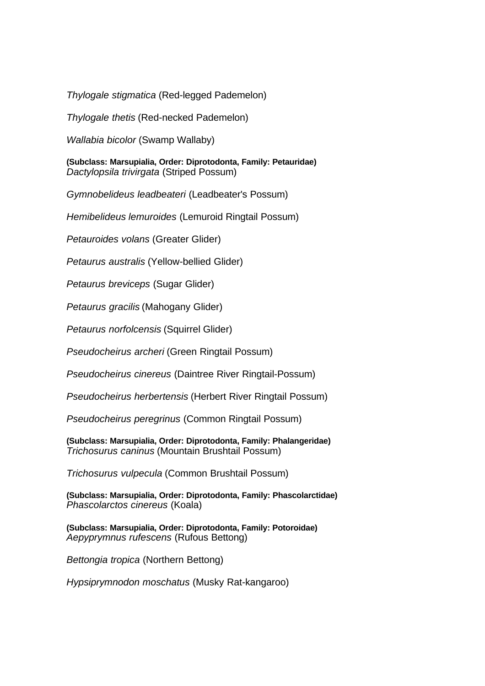*Thylogale stigmatica* (Red-legged Pademelon)

*Thylogale thetis* (Red-necked Pademelon)

*Wallabia bicolor* (Swamp Wallaby)

**(Subclass: Marsupialia, Order: Diprotodonta, Family: Petauridae)** *Dactylopsila trivirgata* (Striped Possum)

*Gymnobelideus leadbeateri* (Leadbeater's Possum)

*Hemibelideus lemuroides* (Lemuroid Ringtail Possum)

*Petauroides volans* (Greater Glider)

*Petaurus australis* (Yellow-bellied Glider)

*Petaurus breviceps* (Sugar Glider)

*Petaurus gracilis* (Mahogany Glider)

*Petaurus norfolcensis* (Squirrel Glider)

*Pseudocheirus archeri* (Green Ringtail Possum)

*Pseudocheirus cinereus* (Daintree River Ringtail-Possum)

*Pseudocheirus herbertensis* (Herbert River Ringtail Possum)

*Pseudocheirus peregrinus* (Common Ringtail Possum)

**(Subclass: Marsupialia, Order: Diprotodonta, Family: Phalangeridae)** *Trichosurus caninus* (Mountain Brushtail Possum)

*Trichosurus vulpecula* (Common Brushtail Possum)

**(Subclass: Marsupialia, Order: Diprotodonta, Family: Phascolarctidae)** *Phascolarctos cinereus* (Koala)

**(Subclass: Marsupialia, Order: Diprotodonta, Family: Potoroidae)** *Aepyprymnus rufescens* (Rufous Bettong)

*Bettongia tropica* (Northern Bettong)

*Hypsiprymnodon moschatus* (Musky Rat-kangaroo)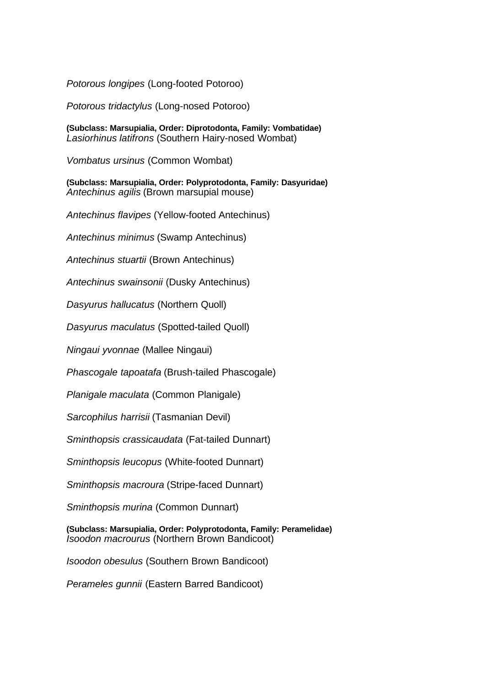*Potorous longipes* (Long-footed Potoroo)

*Potorous tridactylus* (Long-nosed Potoroo)

**(Subclass: Marsupialia, Order: Diprotodonta, Family: Vombatidae)** *Lasiorhinus latifrons* (Southern Hairy-nosed Wombat)

*Vombatus ursinus* (Common Wombat)

**(Subclass: Marsupialia, Order: Polyprotodonta, Family: Dasyuridae)** *Antechinus agilis* (Brown marsupial mouse)

*Antechinus flavipes* (Yellow-footed Antechinus)

*Antechinus minimus* (Swamp Antechinus)

*Antechinus stuartii* (Brown Antechinus)

*Antechinus swainsonii* (Dusky Antechinus)

*Dasyurus hallucatus* (Northern Quoll)

*Dasyurus maculatus* (Spotted-tailed Quoll)

*Ningaui yvonnae* (Mallee Ningaui)

*Phascogale tapoatafa* (Brush-tailed Phascogale)

*Planigale maculata* (Common Planigale)

*Sarcophilus harrisii* (Tasmanian Devil)

*Sminthopsis crassicaudata* (Fat-tailed Dunnart)

*Sminthopsis leucopus* (White-footed Dunnart)

*Sminthopsis macroura* (Stripe-faced Dunnart)

*Sminthopsis murina* (Common Dunnart)

**(Subclass: Marsupialia, Order: Polyprotodonta, Family: Peramelidae)** *Isoodon macrourus* (Northern Brown Bandicoot)

*Isoodon obesulus* (Southern Brown Bandicoot)

*Perameles gunnii* (Eastern Barred Bandicoot)